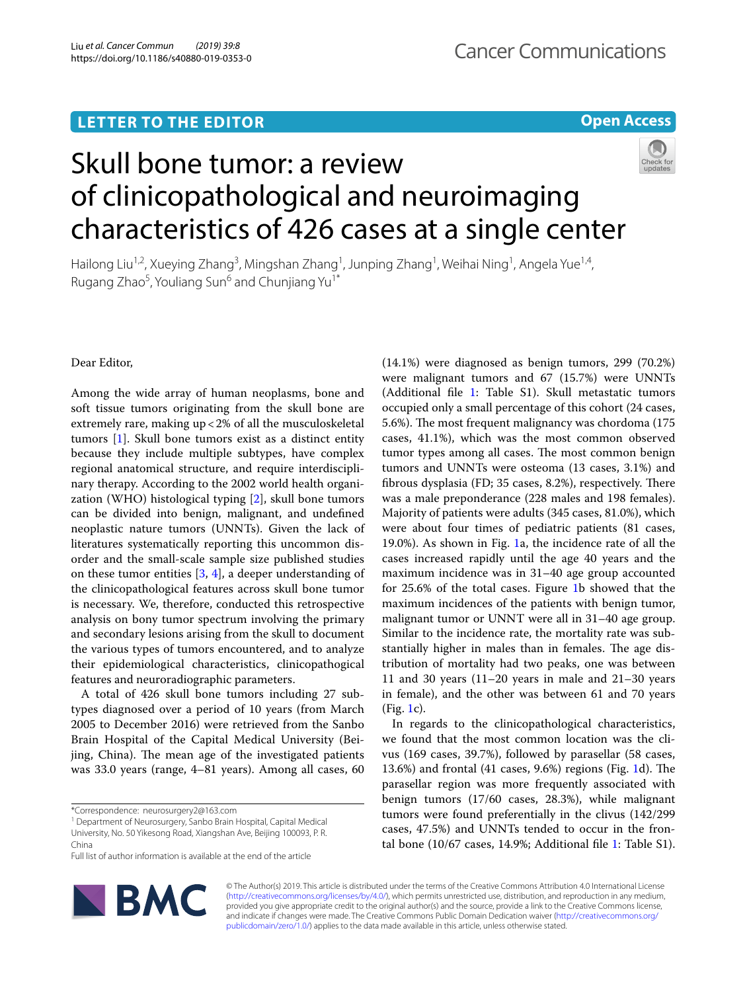## **LETTER TO THE EDITOR**



# Skull bone tumor: a review of clinicopathological and neuroimaging characteristics of 426 cases at a single center

Hailong Liu<sup>1,2</sup>, Xueying Zhang<sup>3</sup>, Mingshan Zhang<sup>1</sup>, Junping Zhang<sup>1</sup>, Weihai Ning<sup>1</sup>, Angela Yue<sup>1,4</sup>, Rugang Zhao<sup>5</sup>, Youliang Sun<sup>6</sup> and Chunjiang Yu<sup>1\*</sup>



### Dear Editor,

Among the wide array of human neoplasms, bone and soft tissue tumors originating from the skull bone are extremely rare, making up<2% of all the musculoskeletal tumors [\[1](#page-4-0)]. Skull bone tumors exist as a distinct entity because they include multiple subtypes, have complex regional anatomical structure, and require interdisciplinary therapy. According to the 2002 world health organization (WHO) histological typing [\[2](#page-4-1)], skull bone tumors can be divided into benign, malignant, and undefned neoplastic nature tumors (UNNTs). Given the lack of literatures systematically reporting this uncommon disorder and the small-scale sample size published studies on these tumor entities [[3,](#page-4-2) [4\]](#page-4-3), a deeper understanding of the clinicopathological features across skull bone tumor is necessary. We, therefore, conducted this retrospective analysis on bony tumor spectrum involving the primary and secondary lesions arising from the skull to document the various types of tumors encountered, and to analyze their epidemiological characteristics, clinicopathogical features and neuroradiographic parameters.

A total of 426 skull bone tumors including 27 subtypes diagnosed over a period of 10 years (from March 2005 to December 2016) were retrieved from the Sanbo Brain Hospital of the Capital Medical University (Beijing, China). The mean age of the investigated patients was 33.0 years (range, 4–81 years). Among all cases, 60

<sup>1</sup> Department of Neurosurgery, Sanbo Brain Hospital, Capital Medical University, No. 50 Yikesong Road, Xiangshan Ave, Beijing 100093, P. R. China

Full list of author information is available at the end of the article



In regards to the clinicopathological characteristics, we found that the most common location was the clivus (169 cases, 39.7%), followed by parasellar (58 cases, 13.6%) and frontal  $(41 \text{ cases}, 9.6\%)$  regions (Fig. [1d](#page-1-0)). The parasellar region was more frequently associated with benign tumors (17/60 cases, 28.3%), while malignant tumors were found preferentially in the clivus (142/299 cases, 47.5%) and UNNTs tended to occur in the frontal bone (10/67 cases, 14.9%; Additional fle [1:](#page-3-0) Table S1).



© The Author(s) 2019. This article is distributed under the terms of the Creative Commons Attribution 4.0 International License [\(http://creativecommons.org/licenses/by/4.0/\)](http://creativecommons.org/licenses/by/4.0/), which permits unrestricted use, distribution, and reproduction in any medium, provided you give appropriate credit to the original author(s) and the source, provide a link to the Creative Commons license, and indicate if changes were made. The Creative Commons Public Domain Dedication waiver ([http://creativecommons.org/](http://creativecommons.org/publicdomain/zero/1.0/) [publicdomain/zero/1.0/](http://creativecommons.org/publicdomain/zero/1.0/)) applies to the data made available in this article, unless otherwise stated.

<sup>\*</sup>Correspondence: neurosurgery2@163.com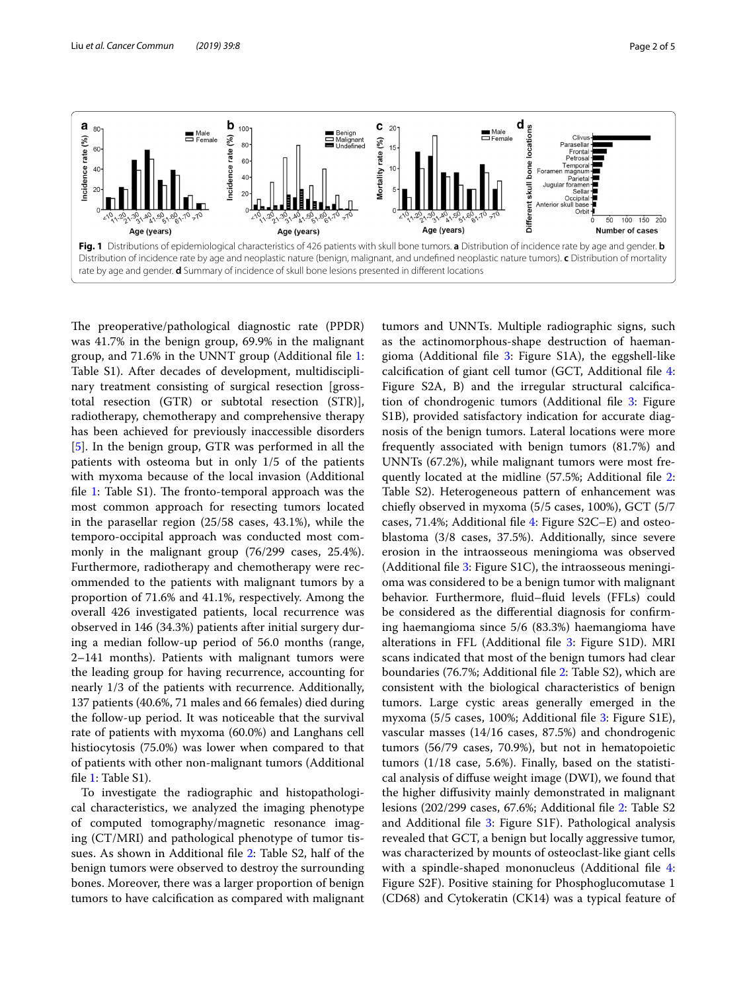

<span id="page-1-0"></span>The preoperative/pathological diagnostic rate (PPDR) was 41.7% in the benign group, 69.9% in the malignant group, and 71.6% in the UNNT group (Additional fle [1](#page-3-0): Table S1). After decades of development, multidisciplinary treatment consisting of surgical resection [grosstotal resection (GTR) or subtotal resection (STR)], radiotherapy, chemotherapy and comprehensive therapy has been achieved for previously inaccessible disorders [[5\]](#page-4-4). In the benign group, GTR was performed in all the patients with osteoma but in only 1/5 of the patients with myxoma because of the local invasion (Additional file  $1$ : Table S1). The fronto-temporal approach was the most common approach for resecting tumors located in the parasellar region (25/58 cases, 43.1%), while the temporo-occipital approach was conducted most commonly in the malignant group (76/299 cases, 25.4%). Furthermore, radiotherapy and chemotherapy were recommended to the patients with malignant tumors by a proportion of 71.6% and 41.1%, respectively. Among the overall 426 investigated patients, local recurrence was observed in 146 (34.3%) patients after initial surgery during a median follow-up period of 56.0 months (range, 2–141 months). Patients with malignant tumors were the leading group for having recurrence, accounting for nearly 1/3 of the patients with recurrence. Additionally, 137 patients (40.6%, 71 males and 66 females) died during the follow-up period. It was noticeable that the survival rate of patients with myxoma (60.0%) and Langhans cell histiocytosis (75.0%) was lower when compared to that of patients with other non-malignant tumors (Additional file [1](#page-3-0): Table S1).

To investigate the radiographic and histopathological characteristics, we analyzed the imaging phenotype of computed tomography/magnetic resonance imaging (CT/MRI) and pathological phenotype of tumor tissues. As shown in Additional fle [2:](#page-3-1) Table S2, half of the benign tumors were observed to destroy the surrounding bones. Moreover, there was a larger proportion of benign tumors to have calcifcation as compared with malignant tumors and UNNTs. Multiple radiographic signs, such as the actinomorphous-shape destruction of haemangioma (Additional file  $3$ : Figure S1A), the eggshell-like calcifcation of giant cell tumor (GCT, Additional fle [4](#page-3-3): Figure S2A, B) and the irregular structural calcifcation of chondrogenic tumors (Additional fle [3:](#page-3-2) Figure S1B), provided satisfactory indication for accurate diagnosis of the benign tumors. Lateral locations were more frequently associated with benign tumors (81.7%) and UNNTs (67.2%), while malignant tumors were most fre-quently located at the midline (57.5%; Additional file [2](#page-3-1): Table S2). Heterogeneous pattern of enhancement was chiefy observed in myxoma (5/5 cases, 100%), GCT (5/7 cases, 71.4%; Additional fle [4:](#page-3-3) Figure S2C–E) and osteoblastoma (3/8 cases, 37.5%). Additionally, since severe erosion in the intraosseous meningioma was observed (Additional fle [3:](#page-3-2) Figure S1C), the intraosseous meningioma was considered to be a benign tumor with malignant behavior. Furthermore, fuid–fuid levels (FFLs) could be considered as the diferential diagnosis for confrming haemangioma since 5/6 (83.3%) haemangioma have alterations in FFL (Additional file [3:](#page-3-2) Figure S1D). MRI scans indicated that most of the benign tumors had clear boundaries (76.7%; Additional fle [2](#page-3-1): Table S2), which are consistent with the biological characteristics of benign tumors. Large cystic areas generally emerged in the myxoma (5/5 cases, 100%; Additional fle [3](#page-3-2): Figure S1E), vascular masses (14/16 cases, 87.5%) and chondrogenic tumors (56/79 cases, 70.9%), but not in hematopoietic tumors (1/18 case, 5.6%). Finally, based on the statistical analysis of difuse weight image (DWI), we found that the higher difusivity mainly demonstrated in malignant lesions (202/299 cases, 67.6%; Additional fle [2](#page-3-1): Table S2 and Additional file [3](#page-3-2): Figure S1F). Pathological analysis revealed that GCT, a benign but locally aggressive tumor, was characterized by mounts of osteoclast-like giant cells with a spindle-shaped mononucleus (Additional file [4](#page-3-3): Figure S2F). Positive staining for Phosphoglucomutase 1 (CD68) and Cytokeratin (CK14) was a typical feature of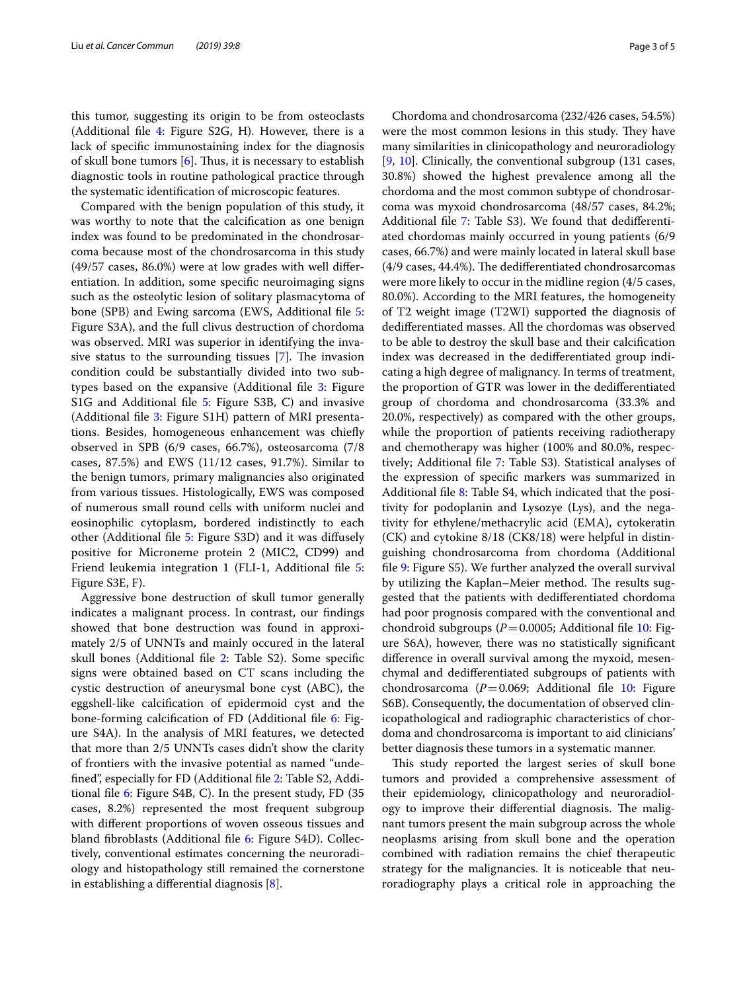this tumor, suggesting its origin to be from osteoclasts (Additional file  $4$ : Figure S2G, H). However, there is a lack of specifc immunostaining index for the diagnosis of skull bone tumors  $[6]$  $[6]$ . Thus, it is necessary to establish diagnostic tools in routine pathological practice through the systematic identifcation of microscopic features.

Compared with the benign population of this study, it was worthy to note that the calcifcation as one benign index was found to be predominated in the chondrosarcoma because most of the chondrosarcoma in this study (49/57 cases, 86.0%) were at low grades with well diferentiation. In addition, some specifc neuroimaging signs such as the osteolytic lesion of solitary plasmacytoma of bone (SPB) and Ewing sarcoma (EWS, Additional fle [5](#page-3-4): Figure S3A), and the full clivus destruction of chordoma was observed. MRI was superior in identifying the invasive status to the surrounding tissues  $[7]$  $[7]$  $[7]$ . The invasion condition could be substantially divided into two sub-types based on the expansive (Additional file [3](#page-3-2): Figure S1G and Additional file [5](#page-3-4): Figure S3B, C) and invasive (Additional fle [3](#page-3-2): Figure S1H) pattern of MRI presentations. Besides, homogeneous enhancement was chiefy observed in SPB (6/9 cases, 66.7%), osteosarcoma (7/8 cases, 87.5%) and EWS (11/12 cases, 91.7%). Similar to the benign tumors, primary malignancies also originated from various tissues. Histologically, EWS was composed of numerous small round cells with uniform nuclei and eosinophilic cytoplasm, bordered indistinctly to each other (Additional fle [5](#page-3-4): Figure S3D) and it was difusely positive for Microneme protein 2 (MIC2, CD99) and Friend leukemia integration 1 (FLI-1, Additional fle [5](#page-3-4): Figure S3E, F).

Aggressive bone destruction of skull tumor generally indicates a malignant process. In contrast, our fndings showed that bone destruction was found in approximately 2/5 of UNNTs and mainly occured in the lateral skull bones (Additional fle [2:](#page-3-1) Table S2). Some specifc signs were obtained based on CT scans including the cystic destruction of aneurysmal bone cyst (ABC), the eggshell-like calcifcation of epidermoid cyst and the bone-forming calcification of FD (Additional file [6:](#page-3-5) Figure S4A). In the analysis of MRI features, we detected that more than 2/5 UNNTs cases didn't show the clarity of frontiers with the invasive potential as named "undefned", especially for FD (Additional fle [2](#page-3-1): Table S2, Additional fle [6:](#page-3-5) Figure S4B, C). In the present study, FD (35 cases, 8.2%) represented the most frequent subgroup with diferent proportions of woven osseous tissues and bland fbroblasts (Additional fle [6](#page-3-5): Figure S4D). Collectively, conventional estimates concerning the neuroradiology and histopathology still remained the cornerstone in establishing a diferential diagnosis [[8\]](#page-4-7).

Chordoma and chondrosarcoma (232/426 cases, 54.5%) were the most common lesions in this study. They have many similarities in clinicopathology and neuroradiology [[9,](#page-4-8) [10](#page-4-9)]. Clinically, the conventional subgroup (131 cases, 30.8%) showed the highest prevalence among all the chordoma and the most common subtype of chondrosarcoma was myxoid chondrosarcoma (48/57 cases, 84.2%; Additional file [7:](#page-3-6) Table S3). We found that dedifferentiated chordomas mainly occurred in young patients (6/9 cases, 66.7%) and were mainly located in lateral skull base  $(4/9 \text{ cases}, 44.4\%)$ . The dedifferentiated chondrosarcomas were more likely to occur in the midline region (4/5 cases, 80.0%). According to the MRI features, the homogeneity of T2 weight image (T2WI) supported the diagnosis of dediferentiated masses. All the chordomas was observed to be able to destroy the skull base and their calcifcation index was decreased in the dediferentiated group indicating a high degree of malignancy. In terms of treatment, the proportion of GTR was lower in the dediferentiated group of chordoma and chondrosarcoma (33.3% and 20.0%, respectively) as compared with the other groups, while the proportion of patients receiving radiotherapy and chemotherapy was higher (100% and 80.0%, respectively; Additional fle [7](#page-3-6): Table S3). Statistical analyses of the expression of specifc markers was summarized in Additional fle [8:](#page-3-7) Table S4, which indicated that the positivity for podoplanin and Lysozye (Lys), and the negativity for ethylene/methacrylic acid (EMA), cytokeratin (CK) and cytokine 8/18 (CK8/18) were helpful in distinguishing chondrosarcoma from chordoma (Additional fle [9](#page-3-8): Figure S5). We further analyzed the overall survival by utilizing the Kaplan–Meier method. The results suggested that the patients with dediferentiated chordoma had poor prognosis compared with the conventional and chondroid subgroups (*P*=0.0005; Additional fle [10:](#page-3-9) Figure S6A), however, there was no statistically signifcant diference in overall survival among the myxoid, mesenchymal and dediferentiated subgroups of patients with chondrosarcoma ( $P=0.069$ ; Additional file [10:](#page-3-9) Figure S6B). Consequently, the documentation of observed clinicopathological and radiographic characteristics of chordoma and chondrosarcoma is important to aid clinicians' better diagnosis these tumors in a systematic manner.

This study reported the largest series of skull bone tumors and provided a comprehensive assessment of their epidemiology, clinicopathology and neuroradiology to improve their differential diagnosis. The malignant tumors present the main subgroup across the whole neoplasms arising from skull bone and the operation combined with radiation remains the chief therapeutic strategy for the malignancies. It is noticeable that neuroradiography plays a critical role in approaching the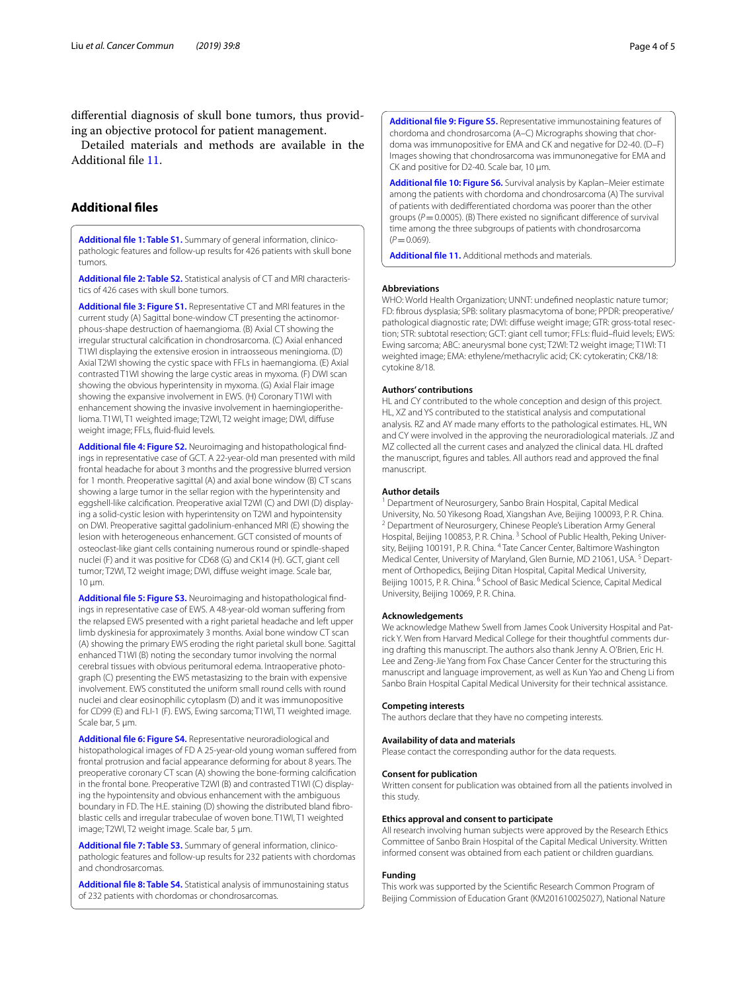diferential diagnosis of skull bone tumors, thus providing an objective protocol for patient management.

Detailed materials and methods are available in the Additional fle [11](#page-3-10).

### **Additional fles**

<span id="page-3-0"></span>**[Additional fle 1: Table S1.](https://doi.org/10.1186/s40880-019-0353-0)** Summary of general information, clinicopathologic features and follow-up results for 426 patients with skull bone tumors.

<span id="page-3-2"></span><span id="page-3-1"></span>**[Additional fle 2: Table S2.](https://doi.org/10.1186/s40880-019-0353-0)** Statistical analysis of CT and MRI characteristics of 426 cases with skull bone tumors.

**[Additional fle 3: Figure S1.](https://doi.org/10.1186/s40880-019-0353-0)** Representative CT and MRI features in the current study (A) Sagittal bone-window CT presenting the actinomorphous-shape destruction of haemangioma. (B) Axial CT showing the irregular structural calcifcation in chondrosarcoma. (C) Axial enhanced T1WI displaying the extensive erosion in intraosseous meningioma. (D) Axial T2WI showing the cystic space with FFLs in haemangioma. (E) Axial contrasted T1WI showing the large cystic areas in myxoma. (F) DWI scan showing the obvious hyperintensity in myxoma. (G) Axial Flair image showing the expansive involvement in EWS. (H) Coronary T1WI with enhancement showing the invasive involvement in haemingioperithelioma. T1WI, T1 weighted image; T2WI, T2 weight image; DWI, difuse weight image; FFLs, fuid-fuid levels.

<span id="page-3-3"></span>**[Additional fle 4: Figure S2.](https://doi.org/10.1186/s40880-019-0353-0)** Neuroimaging and histopathological fndings in representative case of GCT. A 22-year-old man presented with mild frontal headache for about 3 months and the progressive blurred version for 1 month. Preoperative sagittal (A) and axial bone window (B) CT scans showing a large tumor in the sellar region with the hyperintensity and eggshell-like calcifcation. Preoperative axial T2WI (C) and DWI (D) displaying a solid-cystic lesion with hyperintensity on T2WI and hypointensity on DWI. Preoperative sagittal gadolinium-enhanced MRI (E) showing the lesion with heterogeneous enhancement. GCT consisted of mounts of osteoclast-like giant cells containing numerous round or spindle-shaped nuclei (F) and it was positive for CD68 (G) and CK14 (H). GCT, giant cell tumor; T2WI, T2 weight image; DWI, difuse weight image. Scale bar, 10 μm.

<span id="page-3-4"></span>**[Additional fle 5: Figure S3.](https://doi.org/10.1186/s40880-019-0353-0)** Neuroimaging and histopathological fndings in representative case of EWS. A 48-year-old woman suffering from the relapsed EWS presented with a right parietal headache and left upper limb dyskinesia for approximately 3 months. Axial bone window CT scan (A) showing the primary EWS eroding the right parietal skull bone. Sagittal enhanced T1WI (B) noting the secondary tumor involving the normal cerebral tissues with obvious peritumoral edema. Intraoperative photograph (C) presenting the EWS metastasizing to the brain with expensive involvement. EWS constituted the uniform small round cells with round nuclei and clear eosinophilic cytoplasm (D) and it was immunopositive for CD99 (E) and FLI-1 (F). EWS, Ewing sarcoma; T1WI, T1 weighted image. Scale bar, 5 μm.

<span id="page-3-5"></span>**[Additional fle 6: Figure S4.](https://doi.org/10.1186/s40880-019-0353-0)** Representative neuroradiological and histopathological images of FD A 25-year-old young woman sufered from frontal protrusion and facial appearance deforming for about 8 years. The preoperative coronary CT scan (A) showing the bone-forming calcifcation in the frontal bone. Preoperative T2WI (B) and contrasted T1WI (C) displaying the hypointensity and obvious enhancement with the ambiguous boundary in FD. The H.E. staining (D) showing the distributed bland fbroblastic cells and irregular trabeculae of woven bone. T1WI, T1 weighted image; T2WI, T2 weight image. Scale bar, 5 μm.

<span id="page-3-6"></span>**[Additional fle 7: Table S3.](https://doi.org/10.1186/s40880-019-0353-0)** Summary of general information, clinicopathologic features and follow-up results for 232 patients with chordomas and chondrosarcomas.

<span id="page-3-8"></span><span id="page-3-7"></span>**[Additional fle 8: Table S4.](https://doi.org/10.1186/s40880-019-0353-0)** Statistical analysis of immunostaining status of 232 patients with chordomas or chondrosarcomas.

**[Additional fle 9: Figure S5.](https://doi.org/10.1186/s40880-019-0353-0)** Representative immunostaining features of chordoma and chondrosarcoma (A–C) Micrographs showing that chordoma was immunopositive for EMA and CK and negative for D2-40. (D–F) Images showing that chondrosarcoma was immunonegative for EMA and CK and positive for D2-40. Scale bar, 10 μm.

<span id="page-3-9"></span>**[Additional fle 10: Figure S6.](https://doi.org/10.1186/s40880-019-0353-0)** Survival analysis by Kaplan–Meier estimate among the patients with chordoma and chondrosarcoma (A) The survival of patients with dediferentiated chordoma was poorer than the other groups ( $P$  = 0.0005). (B) There existed no significant difference of survival time among the three subgroups of patients with chondrosarcoma (*P*=0.069).

<span id="page-3-10"></span>**[Additional fle 11.](https://doi.org/10.1186/s40880-019-0353-0)** Additional methods and materials.

### **Abbreviations**

WHO: World Health Organization; UNNT: undefned neoplastic nature tumor; FD: fbrous dysplasia; SPB: solitary plasmacytoma of bone; PPDR: preoperative/ pathological diagnostic rate; DWI: difuse weight image; GTR: gross-total resection; STR: subtotal resection; GCT: giant cell tumor; FFLs: fuid–fuid levels; EWS: Ewing sarcoma; ABC: aneurysmal bone cyst; T2WI: T2 weight image; T1WI: T1 weighted image; EMA: ethylene/methacrylic acid; CK: cytokeratin; CK8/18: cytokine 8/18.

### **Authors' contributions**

HL and CY contributed to the whole conception and design of this project. HL, XZ and YS contributed to the statistical analysis and computational analysis. RZ and AY made many efforts to the pathological estimates. HL, WN and CY were involved in the approving the neuroradiological materials. JZ and MZ collected all the current cases and analyzed the clinical data. HL drafted the manuscript, fgures and tables. All authors read and approved the fnal manuscript.

### **Author details**

<sup>1</sup> Department of Neurosurgery, Sanbo Brain Hospital, Capital Medical University, No. 50 Yikesong Road, Xiangshan Ave, Beijing 100093, P. R. China.<br><sup>2</sup> Department of Neurosurgery, Chinese People's Liberation Army General Hospital, Beijing 100853, P. R. China.<sup>3</sup> School of Public Health, Peking University, Beijing 100191, P. R. China. <sup>4</sup> Tate Cancer Center, Baltimore Washington Medical Center, University of Maryland, Glen Burnie, MD 21061, USA.<sup>5</sup> Department of Orthopedics, Beijing Ditan Hospital, Capital Medical University, need to the term of the settlem of the settlem of Basic Medical Science, Capital Medical University, Beijing 10069, P. R. China.

### **Acknowledgements**

We acknowledge Mathew Swell from James Cook University Hospital and Patrick Y. Wen from Harvard Medical College for their thoughtful comments during drafting this manuscript. The authors also thank Jenny A. O'Brien, Eric H. Lee and Zeng-Jie Yang from Fox Chase Cancer Center for the structuring this manuscript and language improvement, as well as Kun Yao and Cheng Li from Sanbo Brain Hospital Capital Medical University for their technical assistance.

### **Competing interests**

The authors declare that they have no competing interests.

**Availability of data and materials** Please contact the corresponding author for the data requests.

### **Consent for publication**

Written consent for publication was obtained from all the patients involved in this study.

### **Ethics approval and consent to participate**

All research involving human subjects were approved by the Research Ethics Committee of Sanbo Brain Hospital of the Capital Medical University. Written informed consent was obtained from each patient or children guardians.

### **Funding**

This work was supported by the Scientifc Research Common Program of Beijing Commission of Education Grant (KM201610025027), National Nature